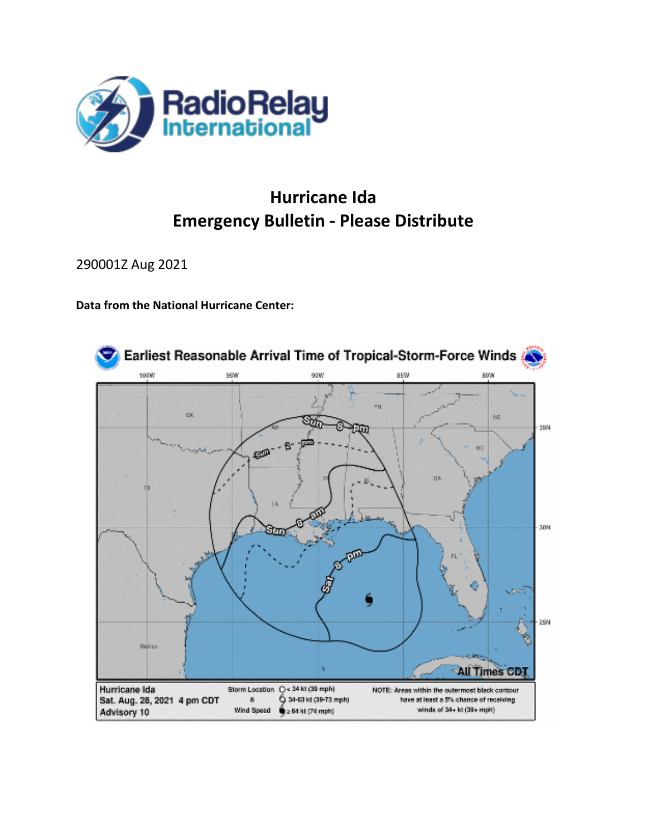

# **Hurricane Ida Emergency Bulletin - Please Distribute**

290001Z Aug 2021

**Data from the National Hurricane Center:**

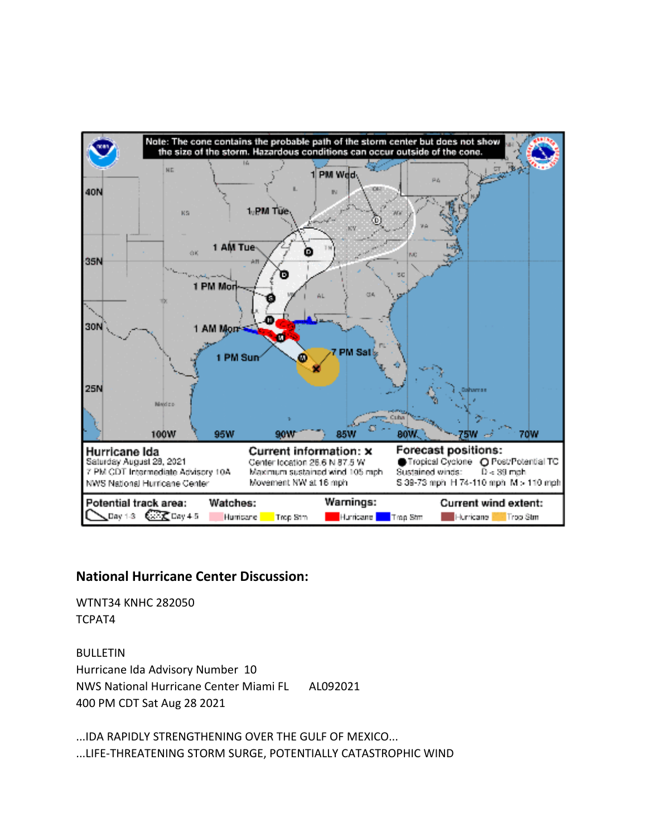

# **National Hurricane Center Discussion:**

WTNT34 KNHC 282050 TCPAT4

BULLETIN Hurricane Ida Advisory Number 10 NWS National Hurricane Center Miami FL AL092021 400 PM CDT Sat Aug 28 2021

...IDA RAPIDLY STRENGTHENING OVER THE GULF OF MEXICO... ...LIFE-THREATENING STORM SURGE, POTENTIALLY CATASTROPHIC WIND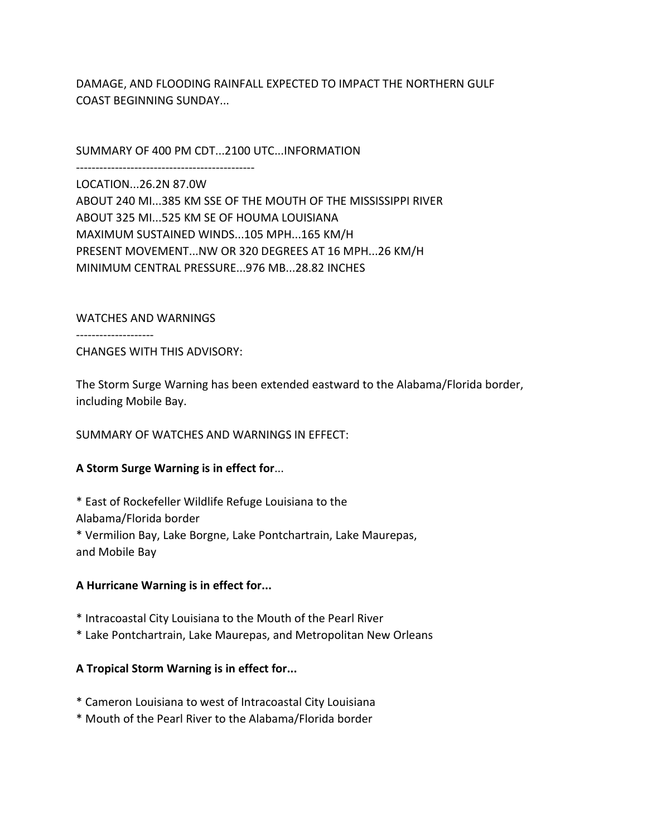DAMAGE, AND FLOODING RAINFALL EXPECTED TO IMPACT THE NORTHERN GULF COAST BEGINNING SUNDAY...

SUMMARY OF 400 PM CDT...2100 UTC...INFORMATION

----------------------------------------------

LOCATION...26.2N 87.0W ABOUT 240 MI...385 KM SSE OF THE MOUTH OF THE MISSISSIPPI RIVER ABOUT 325 MI...525 KM SE OF HOUMA LOUISIANA MAXIMUM SUSTAINED WINDS...105 MPH...165 KM/H PRESENT MOVEMENT...NW OR 320 DEGREES AT 16 MPH...26 KM/H MINIMUM CENTRAL PRESSURE...976 MB...28.82 INCHES

#### WATCHES AND WARNINGS

--------------------

CHANGES WITH THIS ADVISORY:

The Storm Surge Warning has been extended eastward to the Alabama/Florida border, including Mobile Bay.

SUMMARY OF WATCHES AND WARNINGS IN EFFECT:

### **A Storm Surge Warning is in effect for**...

\* East of Rockefeller Wildlife Refuge Louisiana to the Alabama/Florida border \* Vermilion Bay, Lake Borgne, Lake Pontchartrain, Lake Maurepas, and Mobile Bay

### **A Hurricane Warning is in effect for...**

- \* Intracoastal City Louisiana to the Mouth of the Pearl River
- \* Lake Pontchartrain, Lake Maurepas, and Metropolitan New Orleans

### **A Tropical Storm Warning is in effect for...**

- \* Cameron Louisiana to west of Intracoastal City Louisiana
- \* Mouth of the Pearl River to the Alabama/Florida border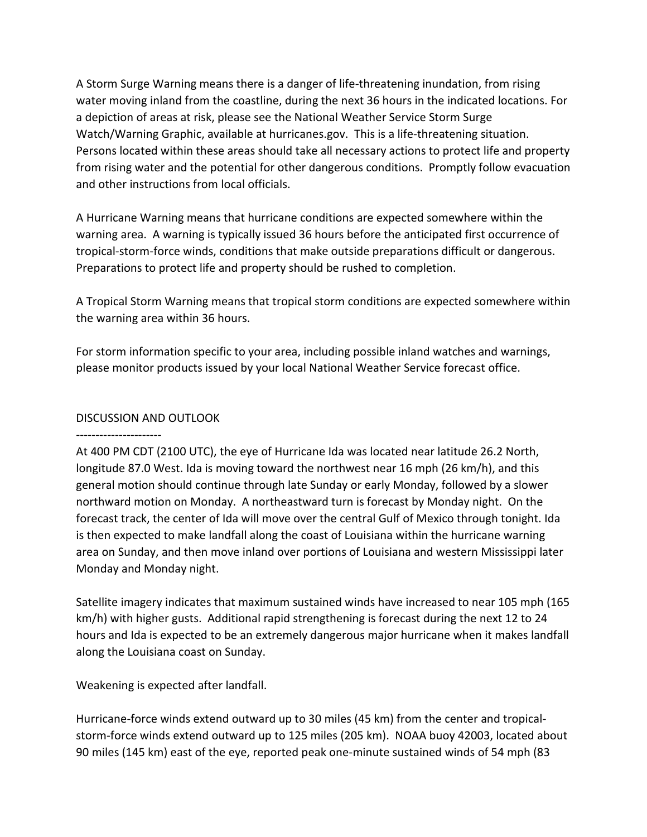A Storm Surge Warning means there is a danger of life-threatening inundation, from rising water moving inland from the coastline, during the next 36 hours in the indicated locations. For a depiction of areas at risk, please see the National Weather Service Storm Surge Watch/Warning Graphic, available at hurricanes.gov. This is a life-threatening situation. Persons located within these areas should take all necessary actions to protect life and property from rising water and the potential for other dangerous conditions. Promptly follow evacuation and other instructions from local officials.

A Hurricane Warning means that hurricane conditions are expected somewhere within the warning area. A warning is typically issued 36 hours before the anticipated first occurrence of tropical-storm-force winds, conditions that make outside preparations difficult or dangerous. Preparations to protect life and property should be rushed to completion.

A Tropical Storm Warning means that tropical storm conditions are expected somewhere within the warning area within 36 hours.

For storm information specific to your area, including possible inland watches and warnings, please monitor products issued by your local National Weather Service forecast office.

#### DISCUSSION AND OUTLOOK

----------------------

At 400 PM CDT (2100 UTC), the eye of Hurricane Ida was located near latitude 26.2 North, longitude 87.0 West. Ida is moving toward the northwest near 16 mph (26 km/h), and this general motion should continue through late Sunday or early Monday, followed by a slower northward motion on Monday. A northeastward turn is forecast by Monday night. On the forecast track, the center of Ida will move over the central Gulf of Mexico through tonight. Ida is then expected to make landfall along the coast of Louisiana within the hurricane warning area on Sunday, and then move inland over portions of Louisiana and western Mississippi later Monday and Monday night.

Satellite imagery indicates that maximum sustained winds have increased to near 105 mph (165 km/h) with higher gusts. Additional rapid strengthening is forecast during the next 12 to 24 hours and Ida is expected to be an extremely dangerous major hurricane when it makes landfall along the Louisiana coast on Sunday.

Weakening is expected after landfall.

Hurricane-force winds extend outward up to 30 miles (45 km) from the center and tropicalstorm-force winds extend outward up to 125 miles (205 km). NOAA buoy 42003, located about 90 miles (145 km) east of the eye, reported peak one-minute sustained winds of 54 mph (83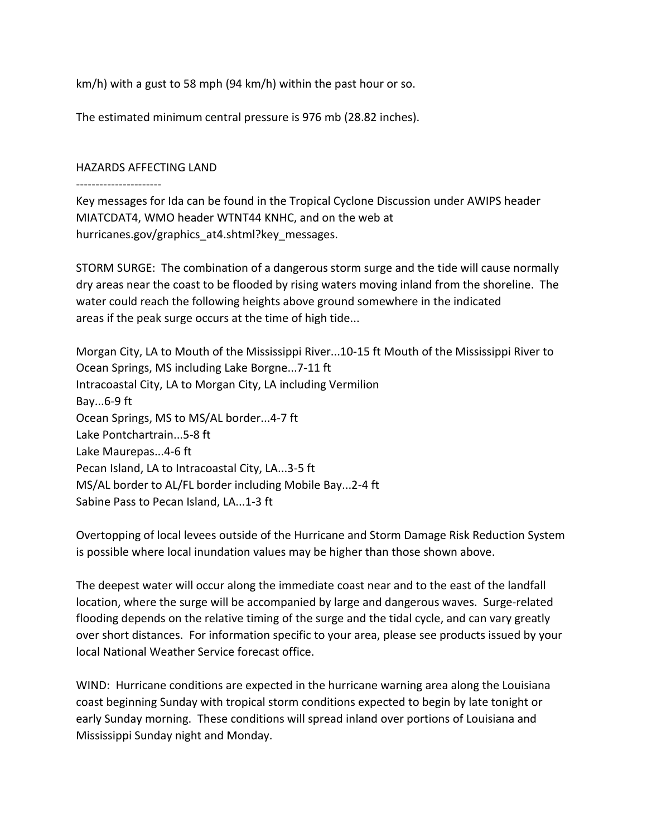km/h) with a gust to 58 mph (94 km/h) within the past hour or so.

The estimated minimum central pressure is 976 mb (28.82 inches).

### HAZARDS AFFECTING LAND

----------------------

Key messages for Ida can be found in the Tropical Cyclone Discussion under AWIPS header MIATCDAT4, WMO header WTNT44 KNHC, and on the web at hurricanes.gov/graphics at4.shtml?key messages.

STORM SURGE: The combination of a dangerous storm surge and the tide will cause normally dry areas near the coast to be flooded by rising waters moving inland from the shoreline. The water could reach the following heights above ground somewhere in the indicated areas if the peak surge occurs at the time of high tide...

Morgan City, LA to Mouth of the Mississippi River...10-15 ft Mouth of the Mississippi River to Ocean Springs, MS including Lake Borgne...7-11 ft Intracoastal City, LA to Morgan City, LA including Vermilion Bay...6-9 ft Ocean Springs, MS to MS/AL border...4-7 ft Lake Pontchartrain...5-8 ft Lake Maurepas...4-6 ft Pecan Island, LA to Intracoastal City, LA...3-5 ft MS/AL border to AL/FL border including Mobile Bay...2-4 ft Sabine Pass to Pecan Island, LA...1-3 ft

Overtopping of local levees outside of the Hurricane and Storm Damage Risk Reduction System is possible where local inundation values may be higher than those shown above.

The deepest water will occur along the immediate coast near and to the east of the landfall location, where the surge will be accompanied by large and dangerous waves. Surge-related flooding depends on the relative timing of the surge and the tidal cycle, and can vary greatly over short distances. For information specific to your area, please see products issued by your local National Weather Service forecast office.

WIND: Hurricane conditions are expected in the hurricane warning area along the Louisiana coast beginning Sunday with tropical storm conditions expected to begin by late tonight or early Sunday morning. These conditions will spread inland over portions of Louisiana and Mississippi Sunday night and Monday.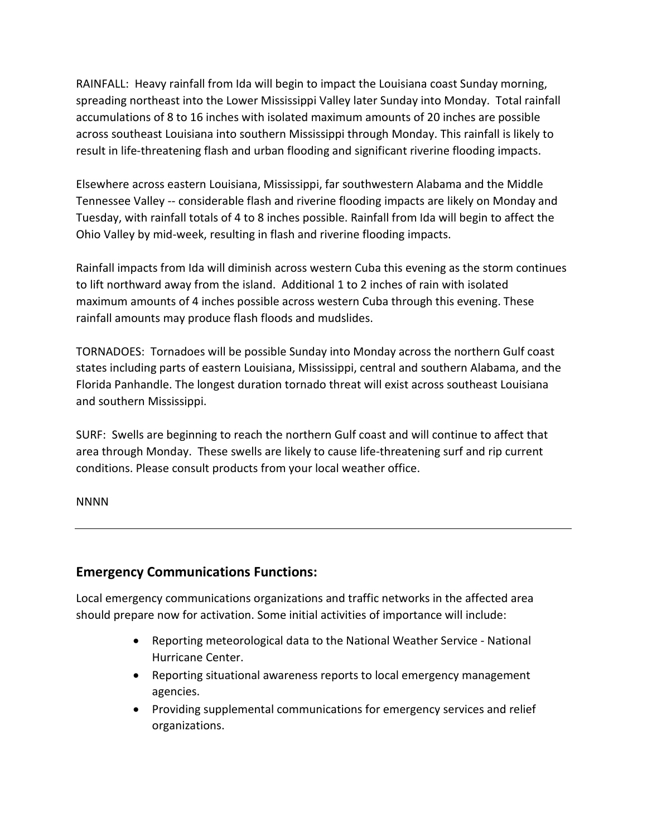RAINFALL: Heavy rainfall from Ida will begin to impact the Louisiana coast Sunday morning, spreading northeast into the Lower Mississippi Valley later Sunday into Monday. Total rainfall accumulations of 8 to 16 inches with isolated maximum amounts of 20 inches are possible across southeast Louisiana into southern Mississippi through Monday. This rainfall is likely to result in life-threatening flash and urban flooding and significant riverine flooding impacts.

Elsewhere across eastern Louisiana, Mississippi, far southwestern Alabama and the Middle Tennessee Valley -- considerable flash and riverine flooding impacts are likely on Monday and Tuesday, with rainfall totals of 4 to 8 inches possible. Rainfall from Ida will begin to affect the Ohio Valley by mid-week, resulting in flash and riverine flooding impacts.

Rainfall impacts from Ida will diminish across western Cuba this evening as the storm continues to lift northward away from the island. Additional 1 to 2 inches of rain with isolated maximum amounts of 4 inches possible across western Cuba through this evening. These rainfall amounts may produce flash floods and mudslides.

TORNADOES: Tornadoes will be possible Sunday into Monday across the northern Gulf coast states including parts of eastern Louisiana, Mississippi, central and southern Alabama, and the Florida Panhandle. The longest duration tornado threat will exist across southeast Louisiana and southern Mississippi.

SURF: Swells are beginning to reach the northern Gulf coast and will continue to affect that area through Monday. These swells are likely to cause life-threatening surf and rip current conditions. Please consult products from your local weather office.

NNNN

# **Emergency Communications Functions:**

Local emergency communications organizations and traffic networks in the affected area should prepare now for activation. Some initial activities of importance will include:

- Reporting meteorological data to the National Weather Service National Hurricane Center.
- Reporting situational awareness reports to local emergency management agencies.
- Providing supplemental communications for emergency services and relief organizations.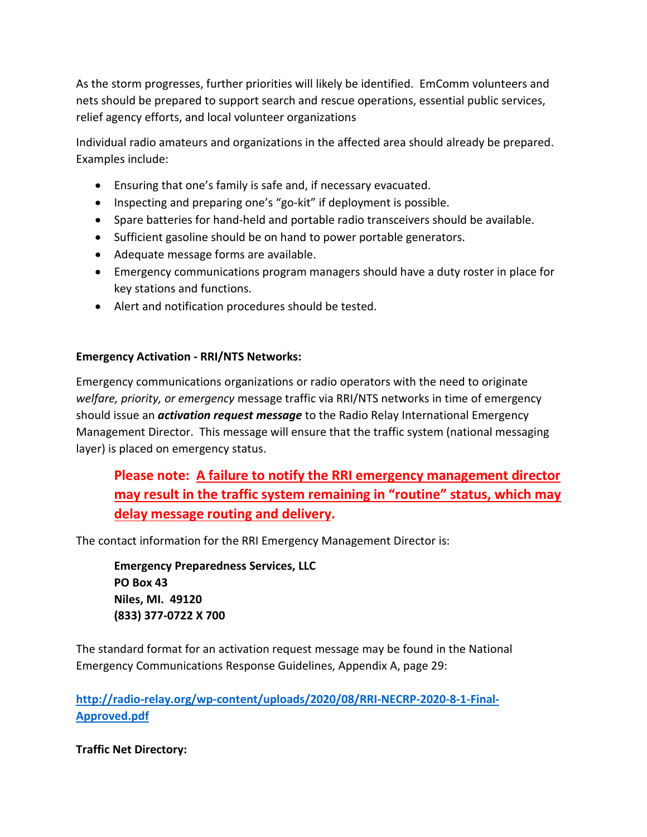As the storm progresses, further priorities will likely be identified. EmComm volunteers and nets should be prepared to support search and rescue operations, essential public services, relief agency efforts, and local volunteer organizations

Individual radio amateurs and organizations in the affected area should already be prepared. Examples include:

- Ensuring that one's family is safe and, if necessary evacuated.
- Inspecting and preparing one's "go-kit" if deployment is possible.
- Spare batteries for hand-held and portable radio transceivers should be available.
- Sufficient gasoline should be on hand to power portable generators.
- Adequate message forms are available.
- Emergency communications program managers should have a duty roster in place for key stations and functions.
- Alert and notification procedures should be tested.

### **Emergency Activation - RRI/NTS Networks:**

Emergency communications organizations or radio operators with the need to originate *welfare, priority, or emergency* message traffic via RRI/NTS networks in time of emergency should issue an *activation request message* to the Radio Relay International Emergency Management Director. This message will ensure that the traffic system (national messaging layer) is placed on emergency status.

**Please note: A failure to notify the RRI emergency management director may result in the traffic system remaining in "routine" status, which may delay message routing and delivery.** 

The contact information for the RRI Emergency Management Director is:

**Emergency Preparedness Services, LLC PO Box 43 Niles, MI. 49120 (833) 377-0722 X 700**

The standard format for an activation request message may be found in the National Emergency Communications Response Guidelines, Appendix A, page 29:

**[http://radio-relay.org/wp-content/uploads/2020/08/RRI-NECRP-2020-8-1-Final-](http://radio-relay.org/wp-content/uploads/2020/08/RRI-NECRP-2020-8-1-Final-Approved.pdf)[Approved.pdf](http://radio-relay.org/wp-content/uploads/2020/08/RRI-NECRP-2020-8-1-Final-Approved.pdf)**

**Traffic Net Directory:**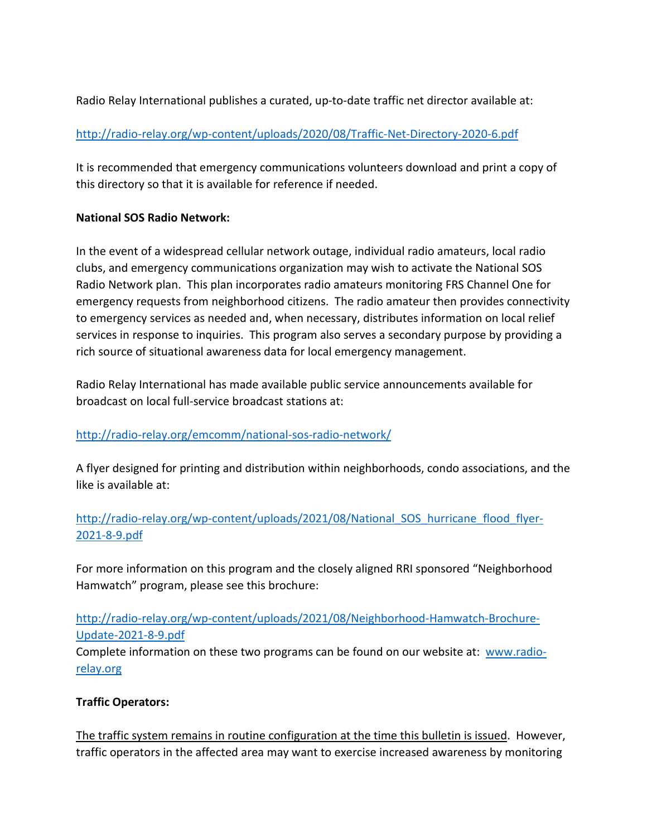Radio Relay International publishes a curated, up-to-date traffic net director available at:

# <http://radio-relay.org/wp-content/uploads/2020/08/Traffic-Net-Directory-2020-6.pdf>

It is recommended that emergency communications volunteers download and print a copy of this directory so that it is available for reference if needed.

# **National SOS Radio Network:**

In the event of a widespread cellular network outage, individual radio amateurs, local radio clubs, and emergency communications organization may wish to activate the National SOS Radio Network plan. This plan incorporates radio amateurs monitoring FRS Channel One for emergency requests from neighborhood citizens. The radio amateur then provides connectivity to emergency services as needed and, when necessary, distributes information on local relief services in response to inquiries. This program also serves a secondary purpose by providing a rich source of situational awareness data for local emergency management.

Radio Relay International has made available public service announcements available for broadcast on local full-service broadcast stations at:

# <http://radio-relay.org/emcomm/national-sos-radio-network/>

A flyer designed for printing and distribution within neighborhoods, condo associations, and the like is available at:

[http://radio-relay.org/wp-content/uploads/2021/08/National\\_SOS\\_hurricane\\_flood\\_flyer-](http://radio-relay.org/wp-content/uploads/2021/08/National_SOS_hurricane_flood_flyer-2021-8-9.pdf)[2021-8-9.pdf](http://radio-relay.org/wp-content/uploads/2021/08/National_SOS_hurricane_flood_flyer-2021-8-9.pdf)

For more information on this program and the closely aligned RRI sponsored "Neighborhood Hamwatch" program, please see this brochure:

[http://radio-relay.org/wp-content/uploads/2021/08/Neighborhood-Hamwatch-Brochure-](http://radio-relay.org/wp-content/uploads/2021/08/Neighborhood-Hamwatch-Brochure-Update-2021-8-9.pdf)[Update-2021-8-9.pdf](http://radio-relay.org/wp-content/uploads/2021/08/Neighborhood-Hamwatch-Brochure-Update-2021-8-9.pdf)

Complete information on these two programs can be found on our website at: [www.radio](http://www.radio-relay.org/)[relay.org](http://www.radio-relay.org/)

# **Traffic Operators:**

The traffic system remains in routine configuration at the time this bulletin is issued. However, traffic operators in the affected area may want to exercise increased awareness by monitoring